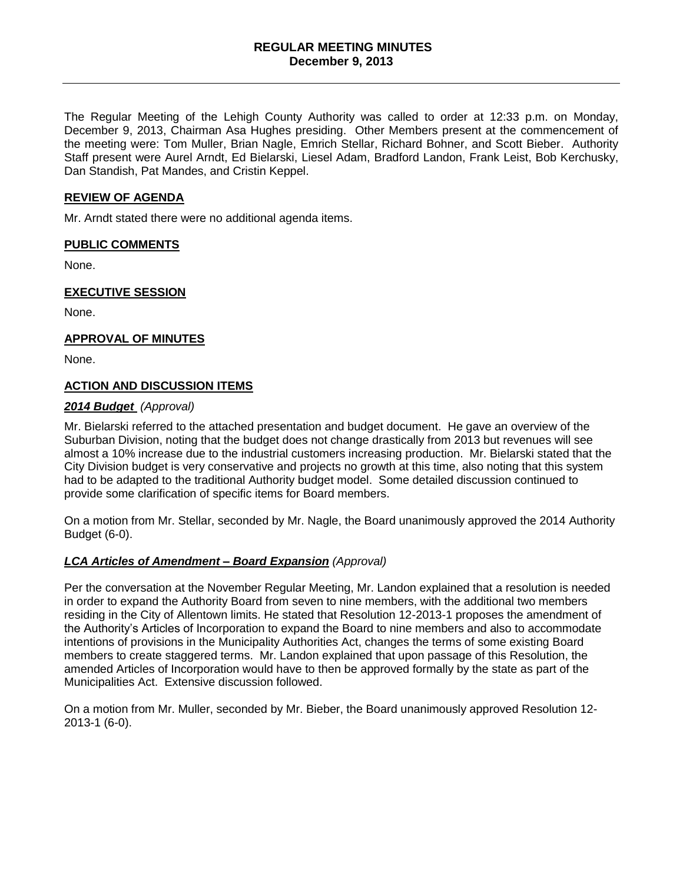# **REGULAR MEETING MINUTES December 9, 2013**

The Regular Meeting of the Lehigh County Authority was called to order at 12:33 p.m. on Monday, December 9, 2013, Chairman Asa Hughes presiding. Other Members present at the commencement of the meeting were: Tom Muller, Brian Nagle, Emrich Stellar, Richard Bohner, and Scott Bieber. Authority Staff present were Aurel Arndt, Ed Bielarski, Liesel Adam, Bradford Landon, Frank Leist, Bob Kerchusky, Dan Standish, Pat Mandes, and Cristin Keppel.

## **REVIEW OF AGENDA**

Mr. Arndt stated there were no additional agenda items.

# **PUBLIC COMMENTS**

None.

## **EXECUTIVE SESSION**

None.

## **APPROVAL OF MINUTES**

None.

# **ACTION AND DISCUSSION ITEMS**

## *2014 Budget (Approval)*

Mr. Bielarski referred to the attached presentation and budget document. He gave an overview of the Suburban Division, noting that the budget does not change drastically from 2013 but revenues will see almost a 10% increase due to the industrial customers increasing production. Mr. Bielarski stated that the City Division budget is very conservative and projects no growth at this time, also noting that this system had to be adapted to the traditional Authority budget model. Some detailed discussion continued to provide some clarification of specific items for Board members.

On a motion from Mr. Stellar, seconded by Mr. Nagle, the Board unanimously approved the 2014 Authority Budget (6-0).

# *LCA Articles of Amendment – Board Expansion (Approval)*

Per the conversation at the November Regular Meeting, Mr. Landon explained that a resolution is needed in order to expand the Authority Board from seven to nine members, with the additional two members residing in the City of Allentown limits. He stated that Resolution 12-2013-1 proposes the amendment of the Authority's Articles of Incorporation to expand the Board to nine members and also to accommodate intentions of provisions in the Municipality Authorities Act, changes the terms of some existing Board members to create staggered terms. Mr. Landon explained that upon passage of this Resolution, the amended Articles of Incorporation would have to then be approved formally by the state as part of the Municipalities Act. Extensive discussion followed.

On a motion from Mr. Muller, seconded by Mr. Bieber, the Board unanimously approved Resolution 12- 2013-1 (6-0).